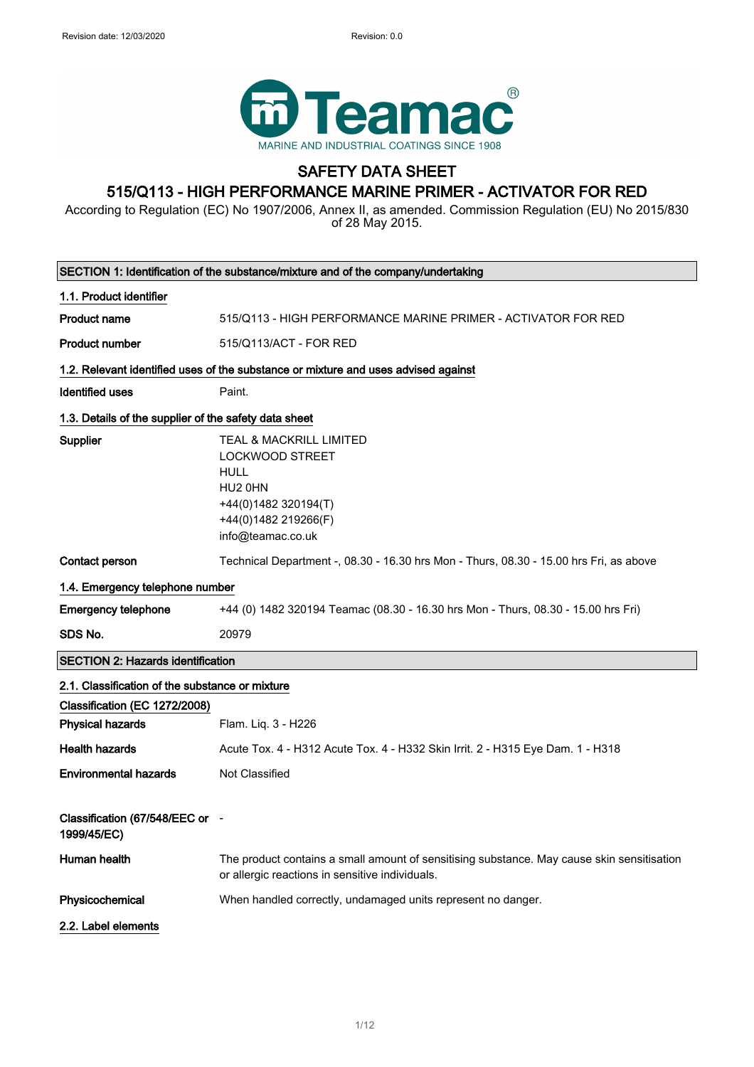

## SAFETY DATA SHEET 515/Q113 - HIGH PERFORMANCE MARINE PRIMER - ACTIVATOR FOR RED

According to Regulation (EC) No 1907/2006, Annex II, as amended. Commission Regulation (EU) No 2015/830 of 28 May 2015.

| SECTION 1: Identification of the substance/mixture and of the company/undertaking |                                                                                                                                                  |  |
|-----------------------------------------------------------------------------------|--------------------------------------------------------------------------------------------------------------------------------------------------|--|
| 1.1. Product identifier                                                           |                                                                                                                                                  |  |
| <b>Product name</b>                                                               | 515/Q113 - HIGH PERFORMANCE MARINE PRIMER - ACTIVATOR FOR RED                                                                                    |  |
| <b>Product number</b>                                                             | 515/Q113/ACT - FOR RED                                                                                                                           |  |
|                                                                                   | 1.2. Relevant identified uses of the substance or mixture and uses advised against                                                               |  |
| <b>Identified uses</b>                                                            | Paint.                                                                                                                                           |  |
| 1.3. Details of the supplier of the safety data sheet                             |                                                                                                                                                  |  |
| <b>Supplier</b>                                                                   | TEAL & MACKRILL LIMITED<br><b>LOCKWOOD STREET</b><br><b>HULL</b><br>HU2 0HN<br>+44(0)1482 320194(T)<br>+44(0)1482 219266(F)<br>info@teamac.co.uk |  |
| Contact person                                                                    | Technical Department -, 08.30 - 16.30 hrs Mon - Thurs, 08.30 - 15.00 hrs Fri, as above                                                           |  |
| 1.4. Emergency telephone number                                                   |                                                                                                                                                  |  |
| <b>Emergency telephone</b>                                                        | +44 (0) 1482 320194 Teamac (08.30 - 16.30 hrs Mon - Thurs, 08.30 - 15.00 hrs Fri)                                                                |  |
| SDS No.                                                                           | 20979                                                                                                                                            |  |
| <b>SECTION 2: Hazards identification</b>                                          |                                                                                                                                                  |  |
| 2.1. Classification of the substance or mixture<br>Classification (EC 1272/2008)  |                                                                                                                                                  |  |
| <b>Physical hazards</b>                                                           | Flam. Liq. 3 - H226                                                                                                                              |  |
| <b>Health hazards</b>                                                             | Acute Tox. 4 - H312 Acute Tox. 4 - H332 Skin Irrit. 2 - H315 Eye Dam. 1 - H318                                                                   |  |
| <b>Environmental hazards</b>                                                      | Not Classified                                                                                                                                   |  |
| Classification (67/548/EEC or -<br>1999/45/EC)                                    |                                                                                                                                                  |  |
| Human health                                                                      | The product contains a small amount of sensitising substance. May cause skin sensitisation<br>or allergic reactions in sensitive individuals.    |  |
| Physicochemical                                                                   | When handled correctly, undamaged units represent no danger.                                                                                     |  |
| 2.2. Label elements                                                               |                                                                                                                                                  |  |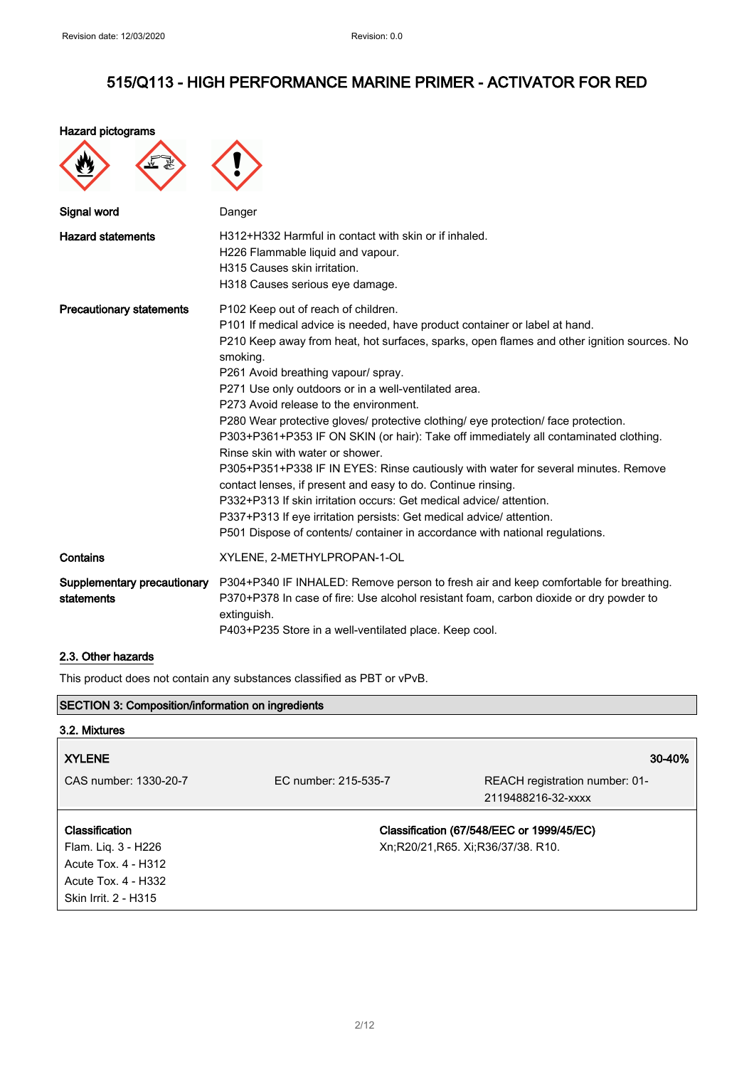Hazard pictograms

 $\blacktriangleright$ 

 $\blacktriangle$ 

| Signal word                               | Danger                                                                                                                                                                                                                                                                                                                                                                                                                                                                                                                                                                                                                                                                                                                                                                                                                                                                                                                                                                     |
|-------------------------------------------|----------------------------------------------------------------------------------------------------------------------------------------------------------------------------------------------------------------------------------------------------------------------------------------------------------------------------------------------------------------------------------------------------------------------------------------------------------------------------------------------------------------------------------------------------------------------------------------------------------------------------------------------------------------------------------------------------------------------------------------------------------------------------------------------------------------------------------------------------------------------------------------------------------------------------------------------------------------------------|
| <b>Hazard statements</b>                  | H312+H332 Harmful in contact with skin or if inhaled.<br>H226 Flammable liquid and vapour.<br>H315 Causes skin irritation.<br>H318 Causes serious eye damage.                                                                                                                                                                                                                                                                                                                                                                                                                                                                                                                                                                                                                                                                                                                                                                                                              |
| <b>Precautionary statements</b>           | P102 Keep out of reach of children.<br>P101 If medical advice is needed, have product container or label at hand.<br>P210 Keep away from heat, hot surfaces, sparks, open flames and other ignition sources. No<br>smoking.<br>P261 Avoid breathing vapour/ spray.<br>P271 Use only outdoors or in a well-ventilated area.<br>P273 Avoid release to the environment.<br>P280 Wear protective gloves/ protective clothing/ eye protection/ face protection.<br>P303+P361+P353 IF ON SKIN (or hair): Take off immediately all contaminated clothing.<br>Rinse skin with water or shower.<br>P305+P351+P338 IF IN EYES: Rinse cautiously with water for several minutes. Remove<br>contact lenses, if present and easy to do. Continue rinsing.<br>P332+P313 If skin irritation occurs: Get medical advice/attention.<br>P337+P313 If eye irritation persists: Get medical advice/ attention.<br>P501 Dispose of contents/ container in accordance with national regulations. |
| Contains                                  | XYLENE, 2-METHYLPROPAN-1-OL                                                                                                                                                                                                                                                                                                                                                                                                                                                                                                                                                                                                                                                                                                                                                                                                                                                                                                                                                |
| Supplementary precautionary<br>statements | P304+P340 IF INHALED: Remove person to fresh air and keep comfortable for breathing.<br>P370+P378 In case of fire: Use alcohol resistant foam, carbon dioxide or dry powder to<br>extinguish.<br>P403+P235 Store in a well-ventilated place. Keep cool.                                                                                                                                                                                                                                                                                                                                                                                                                                                                                                                                                                                                                                                                                                                    |

## 2.3. Other hazards

This product does not contain any substances classified as PBT or vPvB.

 $\lambda$ 

| <b>SECTION 3: Composition/information on ingredients</b> |                      |                                           |
|----------------------------------------------------------|----------------------|-------------------------------------------|
| 3.2. Mixtures                                            |                      |                                           |
| <b>XYLENE</b>                                            |                      | 30-40%                                    |
| CAS number: 1330-20-7                                    | FC number: 215-535-7 | REACH registration number: 01-            |
|                                                          |                      | 2119488216-32-xxxx                        |
| <b>Classification</b>                                    |                      | Classification (67/548/EEC or 1999/45/EC) |
| Flam. Liq. 3 - H226                                      |                      | Xn;R20/21,R65. Xi;R36/37/38. R10.         |
| Acute Tox. 4 - H312                                      |                      |                                           |
| Acute Tox. 4 - H332                                      |                      |                                           |
| Skin Irrit. 2 - H315                                     |                      |                                           |
|                                                          |                      |                                           |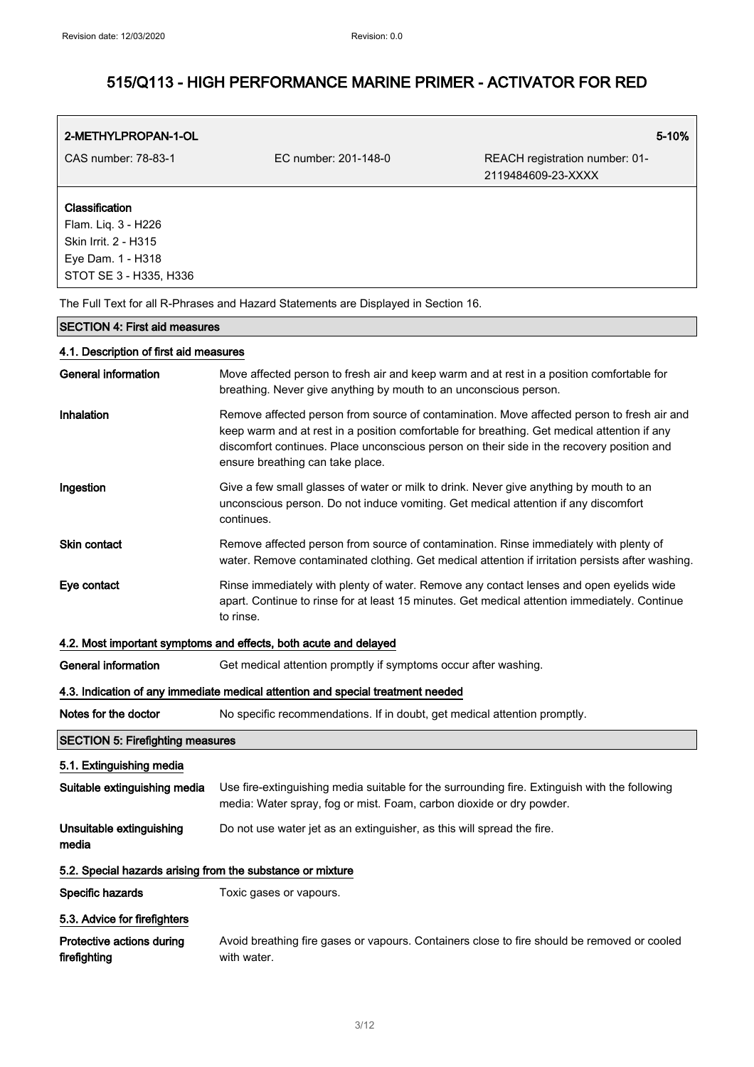| 2-METHYLPROPAN-1-OL                                        |                                                                                                                                                                                                                                                                                                                            | 5-10%                                                |
|------------------------------------------------------------|----------------------------------------------------------------------------------------------------------------------------------------------------------------------------------------------------------------------------------------------------------------------------------------------------------------------------|------------------------------------------------------|
| CAS number: 78-83-1                                        | EC number: 201-148-0                                                                                                                                                                                                                                                                                                       | REACH registration number: 01-<br>2119484609-23-XXXX |
| Classification                                             |                                                                                                                                                                                                                                                                                                                            |                                                      |
| Flam. Liq. 3 - H226                                        |                                                                                                                                                                                                                                                                                                                            |                                                      |
| Skin Irrit. 2 - H315                                       |                                                                                                                                                                                                                                                                                                                            |                                                      |
| Eye Dam. 1 - H318<br>STOT SE 3 - H335, H336                |                                                                                                                                                                                                                                                                                                                            |                                                      |
|                                                            | The Full Text for all R-Phrases and Hazard Statements are Displayed in Section 16.                                                                                                                                                                                                                                         |                                                      |
| <b>SECTION 4: First aid measures</b>                       |                                                                                                                                                                                                                                                                                                                            |                                                      |
| 4.1. Description of first aid measures                     |                                                                                                                                                                                                                                                                                                                            |                                                      |
| <b>General information</b>                                 | Move affected person to fresh air and keep warm and at rest in a position comfortable for<br>breathing. Never give anything by mouth to an unconscious person.                                                                                                                                                             |                                                      |
| Inhalation                                                 | Remove affected person from source of contamination. Move affected person to fresh air and<br>keep warm and at rest in a position comfortable for breathing. Get medical attention if any<br>discomfort continues. Place unconscious person on their side in the recovery position and<br>ensure breathing can take place. |                                                      |
| Ingestion                                                  | Give a few small glasses of water or milk to drink. Never give anything by mouth to an<br>unconscious person. Do not induce vomiting. Get medical attention if any discomfort<br>continues.                                                                                                                                |                                                      |
| <b>Skin contact</b>                                        | Remove affected person from source of contamination. Rinse immediately with plenty of<br>water. Remove contaminated clothing. Get medical attention if irritation persists after washing.                                                                                                                                  |                                                      |
| Eye contact                                                | Rinse immediately with plenty of water. Remove any contact lenses and open eyelids wide<br>apart. Continue to rinse for at least 15 minutes. Get medical attention immediately. Continue<br>to rinse.                                                                                                                      |                                                      |
|                                                            | 4.2. Most important symptoms and effects, both acute and delayed                                                                                                                                                                                                                                                           |                                                      |
| <b>General information</b>                                 | Get medical attention promptly if symptoms occur after washing.                                                                                                                                                                                                                                                            |                                                      |
|                                                            | 4.3. Indication of any immediate medical attention and special treatment needed                                                                                                                                                                                                                                            |                                                      |
| Notes for the doctor                                       | No specific recommendations. If in doubt, get medical attention promptly.                                                                                                                                                                                                                                                  |                                                      |
| <b>SECTION 5: Firefighting measures</b>                    |                                                                                                                                                                                                                                                                                                                            |                                                      |
| 5.1. Extinguishing media                                   |                                                                                                                                                                                                                                                                                                                            |                                                      |
| Suitable extinguishing media                               | Use fire-extinguishing media suitable for the surrounding fire. Extinguish with the following<br>media: Water spray, fog or mist. Foam, carbon dioxide or dry powder.                                                                                                                                                      |                                                      |
| Unsuitable extinguishing<br>media                          | Do not use water jet as an extinguisher, as this will spread the fire.                                                                                                                                                                                                                                                     |                                                      |
| 5.2. Special hazards arising from the substance or mixture |                                                                                                                                                                                                                                                                                                                            |                                                      |
| Specific hazards                                           | Toxic gases or vapours.                                                                                                                                                                                                                                                                                                    |                                                      |
| 5.3. Advice for firefighters                               |                                                                                                                                                                                                                                                                                                                            |                                                      |
| Protective actions during<br>firefighting                  | Avoid breathing fire gases or vapours. Containers close to fire should be removed or cooled<br>with water.                                                                                                                                                                                                                 |                                                      |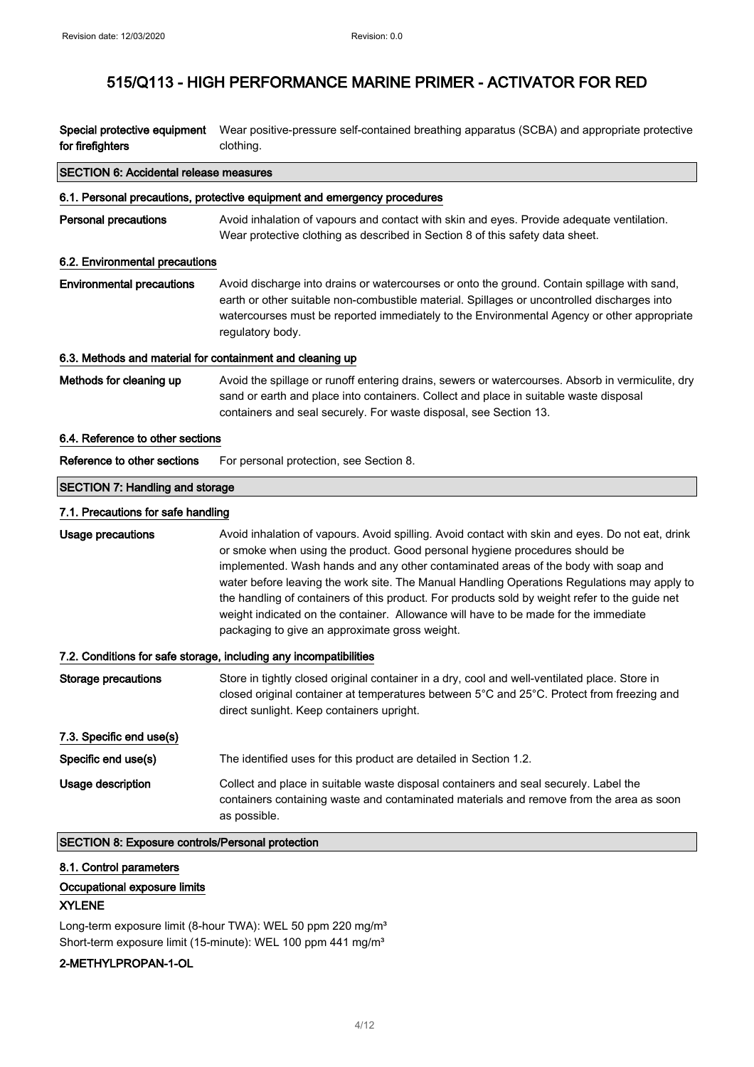Special protective equipment Wear positive-pressure self-contained breathing apparatus (SCBA) and appropriate protective for firefighters clothing.

| <b>SECTION 6: Accidental release measures</b>                     |                                                                                                                                                                                                                                                                                                                                                                                                                                                                                                                                                                                                                 |  |
|-------------------------------------------------------------------|-----------------------------------------------------------------------------------------------------------------------------------------------------------------------------------------------------------------------------------------------------------------------------------------------------------------------------------------------------------------------------------------------------------------------------------------------------------------------------------------------------------------------------------------------------------------------------------------------------------------|--|
|                                                                   | 6.1. Personal precautions, protective equipment and emergency procedures                                                                                                                                                                                                                                                                                                                                                                                                                                                                                                                                        |  |
| <b>Personal precautions</b>                                       | Avoid inhalation of vapours and contact with skin and eyes. Provide adequate ventilation.<br>Wear protective clothing as described in Section 8 of this safety data sheet.                                                                                                                                                                                                                                                                                                                                                                                                                                      |  |
| 6.2. Environmental precautions                                    |                                                                                                                                                                                                                                                                                                                                                                                                                                                                                                                                                                                                                 |  |
| <b>Environmental precautions</b>                                  | Avoid discharge into drains or watercourses or onto the ground. Contain spillage with sand,<br>earth or other suitable non-combustible material. Spillages or uncontrolled discharges into<br>watercourses must be reported immediately to the Environmental Agency or other appropriate<br>regulatory body.                                                                                                                                                                                                                                                                                                    |  |
| 6.3. Methods and material for containment and cleaning up         |                                                                                                                                                                                                                                                                                                                                                                                                                                                                                                                                                                                                                 |  |
| Methods for cleaning up                                           | Avoid the spillage or runoff entering drains, sewers or watercourses. Absorb in vermiculite, dry<br>sand or earth and place into containers. Collect and place in suitable waste disposal<br>containers and seal securely. For waste disposal, see Section 13.                                                                                                                                                                                                                                                                                                                                                  |  |
| 6.4. Reference to other sections                                  |                                                                                                                                                                                                                                                                                                                                                                                                                                                                                                                                                                                                                 |  |
| Reference to other sections                                       | For personal protection, see Section 8.                                                                                                                                                                                                                                                                                                                                                                                                                                                                                                                                                                         |  |
| <b>SECTION 7: Handling and storage</b>                            |                                                                                                                                                                                                                                                                                                                                                                                                                                                                                                                                                                                                                 |  |
| 7.1. Precautions for safe handling                                |                                                                                                                                                                                                                                                                                                                                                                                                                                                                                                                                                                                                                 |  |
| <b>Usage precautions</b>                                          | Avoid inhalation of vapours. Avoid spilling. Avoid contact with skin and eyes. Do not eat, drink<br>or smoke when using the product. Good personal hygiene procedures should be<br>implemented. Wash hands and any other contaminated areas of the body with soap and<br>water before leaving the work site. The Manual Handling Operations Regulations may apply to<br>the handling of containers of this product. For products sold by weight refer to the guide net<br>weight indicated on the container. Allowance will have to be made for the immediate<br>packaging to give an approximate gross weight. |  |
| 7.2. Conditions for safe storage, including any incompatibilities |                                                                                                                                                                                                                                                                                                                                                                                                                                                                                                                                                                                                                 |  |
| <b>Storage precautions</b>                                        | Store in tightly closed original container in a dry, cool and well-ventilated place. Store in<br>closed original container at temperatures between 5°C and 25°C. Protect from freezing and<br>direct sunlight. Keep containers upright.                                                                                                                                                                                                                                                                                                                                                                         |  |
| 7.3. Specific end use(s)                                          |                                                                                                                                                                                                                                                                                                                                                                                                                                                                                                                                                                                                                 |  |
| Specific end use(s)                                               | The identified uses for this product are detailed in Section 1.2.                                                                                                                                                                                                                                                                                                                                                                                                                                                                                                                                               |  |
| Usage description                                                 | Collect and place in suitable waste disposal containers and seal securely. Label the<br>containers containing waste and contaminated materials and remove from the area as soon<br>as possible.                                                                                                                                                                                                                                                                                                                                                                                                                 |  |

### SECTION 8: Exposure controls/Personal protection

### 8.1. Control parameters

### Occupational exposure limits

### XYLENE

Long-term exposure limit (8-hour TWA): WEL 50 ppm 220 mg/m<sup>3</sup> Short-term exposure limit (15-minute): WEL 100 ppm 441 mg/m<sup>3</sup>

## 2-METHYLPROPAN-1-OL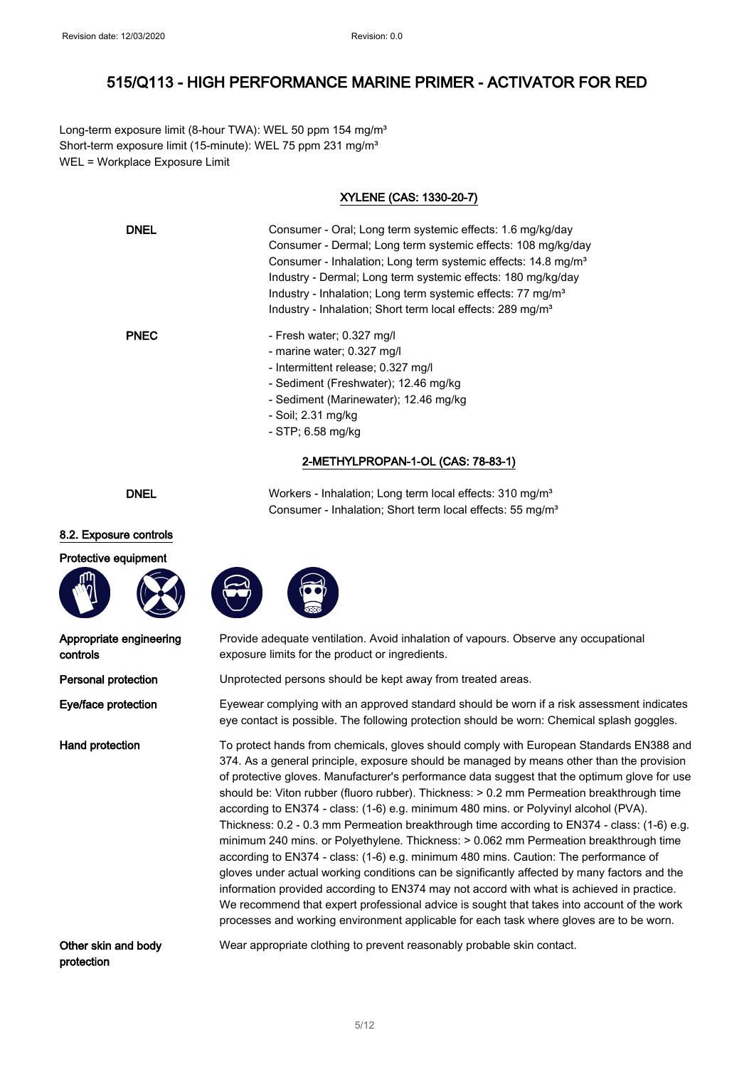Long-term exposure limit (8-hour TWA): WEL 50 ppm 154 mg/m<sup>3</sup> Short-term exposure limit (15-minute): WEL 75 ppm 231 mg/m<sup>3</sup> WEL = Workplace Exposure Limit

### XYLENE (CAS: 1330-20-7)

| <b>DNEL</b> | Consumer - Oral: Long term systemic effects: 1.6 mg/kg/day                |
|-------------|---------------------------------------------------------------------------|
|             | Consumer - Dermal; Long term systemic effects: 108 mg/kg/day              |
|             | Consumer - Inhalation; Long term systemic effects: 14.8 mg/m <sup>3</sup> |
|             | Industry - Dermal; Long term systemic effects: 180 mg/kg/day              |
|             | Industry - Inhalation; Long term systemic effects: 77 mg/m <sup>3</sup>   |
|             | Industry - Inhalation; Short term local effects: 289 mg/m <sup>3</sup>    |
| <b>PNEC</b> | - Fresh water; 0.327 mg/l                                                 |
|             | - marine water; 0.327 mg/l                                                |
|             | - Intermittent release; 0.327 mg/l                                        |
|             | - Sediment (Freshwater); 12.46 mg/kg                                      |
|             | - Sediment (Marinewater); 12.46 mg/kg                                     |
|             | - Soil: 2.31 mg/kg                                                        |
|             | $-$ STP; 6.58 mg/kg                                                       |
|             | 2-METHYLPROPAN-1-OL (CAS: 78-83-1)                                        |

#### DNEL Workers - Inhalation; Long term local effects: 310 mg/m<sup>3</sup>

### 8.2. Exposure controls

#### Protective equipment



| Appropriate engineering |  |
|-------------------------|--|
| controls                |  |

Provide adequate ventilation. Avoid inhalation of vapours. Observe any occupational exposure limits for the product or ingredients.

Consumer - Inhalation; Short term local effects: 55 mg/m<sup>3</sup>

**Personal protection** Unprotected persons should be kept away from treated areas.

Eve/face protection Evewear complying with an approved standard should be worn if a risk assessment indicates eye contact is possible. The following protection should be worn: Chemical splash goggles.

Hand protection To protect hands from chemicals, gloves should comply with European Standards EN388 and 374. As a general principle, exposure should be managed by means other than the provision of protective gloves. Manufacturer's performance data suggest that the optimum glove for use should be: Viton rubber (fluoro rubber). Thickness: > 0.2 mm Permeation breakthrough time according to EN374 - class: (1-6) e.g. minimum 480 mins. or Polyvinyl alcohol (PVA). Thickness: 0.2 - 0.3 mm Permeation breakthrough time according to EN374 - class: (1-6) e.g. minimum 240 mins. or Polyethylene. Thickness: > 0.062 mm Permeation breakthrough time according to EN374 - class: (1-6) e.g. minimum 480 mins. Caution: The performance of gloves under actual working conditions can be significantly affected by many factors and the information provided according to EN374 may not accord with what is achieved in practice. We recommend that expert professional advice is sought that takes into account of the work processes and working environment applicable for each task where gloves are to be worn.

Other skin and body protection

Wear appropriate clothing to prevent reasonably probable skin contact.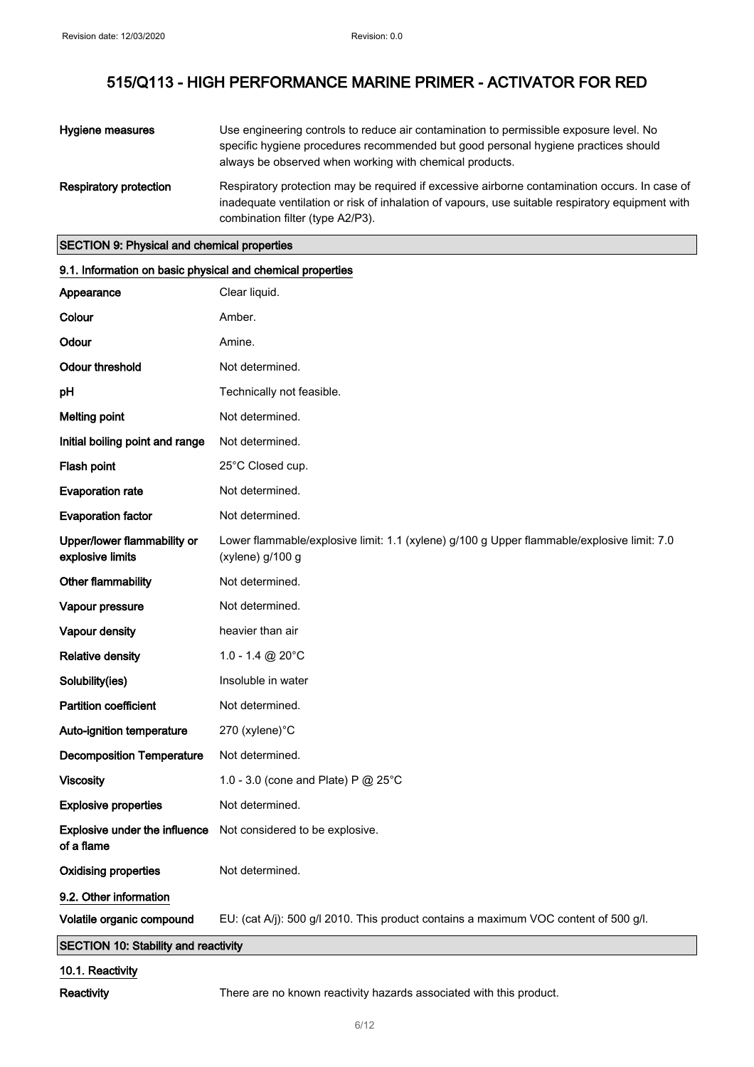| Hygiene measures              | Use engineering controls to reduce air contamination to permissible exposure level. No<br>specific hygiene procedures recommended but good personal hygiene practices should<br>always be observed when working with chemical products. |
|-------------------------------|-----------------------------------------------------------------------------------------------------------------------------------------------------------------------------------------------------------------------------------------|
| <b>Respiratory protection</b> | Respiratory protection may be required if excessive airborne contamination occurs. In case of<br>inadequate ventilation or risk of inhalation of vapours, use suitable respiratory equipment with<br>combination filter (type A2/P3).   |

## SECTION 9: Physical and chemical properties

| 9.1. Information on basic physical and chemical properties |                                                                                                                |  |
|------------------------------------------------------------|----------------------------------------------------------------------------------------------------------------|--|
| Appearance                                                 | Clear liquid.                                                                                                  |  |
| Colour                                                     | Amber.                                                                                                         |  |
| Odour                                                      | Amine.                                                                                                         |  |
| <b>Odour threshold</b>                                     | Not determined.                                                                                                |  |
| pH                                                         | Technically not feasible.                                                                                      |  |
| <b>Melting point</b>                                       | Not determined.                                                                                                |  |
| Initial boiling point and range                            | Not determined.                                                                                                |  |
| Flash point                                                | 25°C Closed cup.                                                                                               |  |
| <b>Evaporation rate</b>                                    | Not determined.                                                                                                |  |
| <b>Evaporation factor</b>                                  | Not determined.                                                                                                |  |
| Upper/lower flammability or<br>explosive limits            | Lower flammable/explosive limit: 1.1 (xylene) g/100 g Upper flammable/explosive limit: 7.0<br>(xylene) g/100 g |  |
| Other flammability                                         | Not determined.                                                                                                |  |
| Vapour pressure                                            | Not determined.                                                                                                |  |
| Vapour density                                             | heavier than air                                                                                               |  |
| <b>Relative density</b>                                    | 1.0 - 1.4 @ 20°C                                                                                               |  |
| Solubility(ies)                                            | Insoluble in water                                                                                             |  |
| <b>Partition coefficient</b>                               | Not determined.                                                                                                |  |
| Auto-ignition temperature                                  | 270 (xylene)°C                                                                                                 |  |
| <b>Decomposition Temperature</b>                           | Not determined.                                                                                                |  |
| <b>Viscosity</b>                                           | 1.0 - 3.0 (cone and Plate) P @ 25°C                                                                            |  |
| <b>Explosive properties</b>                                | Not determined.                                                                                                |  |
| of a flame                                                 | <b>Explosive under the influence</b> Not considered to be explosive.                                           |  |
| <b>Oxidising properties</b>                                | Not determined.                                                                                                |  |
| 9.2. Other information                                     |                                                                                                                |  |
| Volatile organic compound                                  | EU: (cat A/j): 500 g/l 2010. This product contains a maximum VOC content of 500 g/l.                           |  |
| SECTION 10: Stability and reactivity                       |                                                                                                                |  |
| 10.1. Reactivity                                           |                                                                                                                |  |

Reactivity There are no known reactivity hazards associated with this product.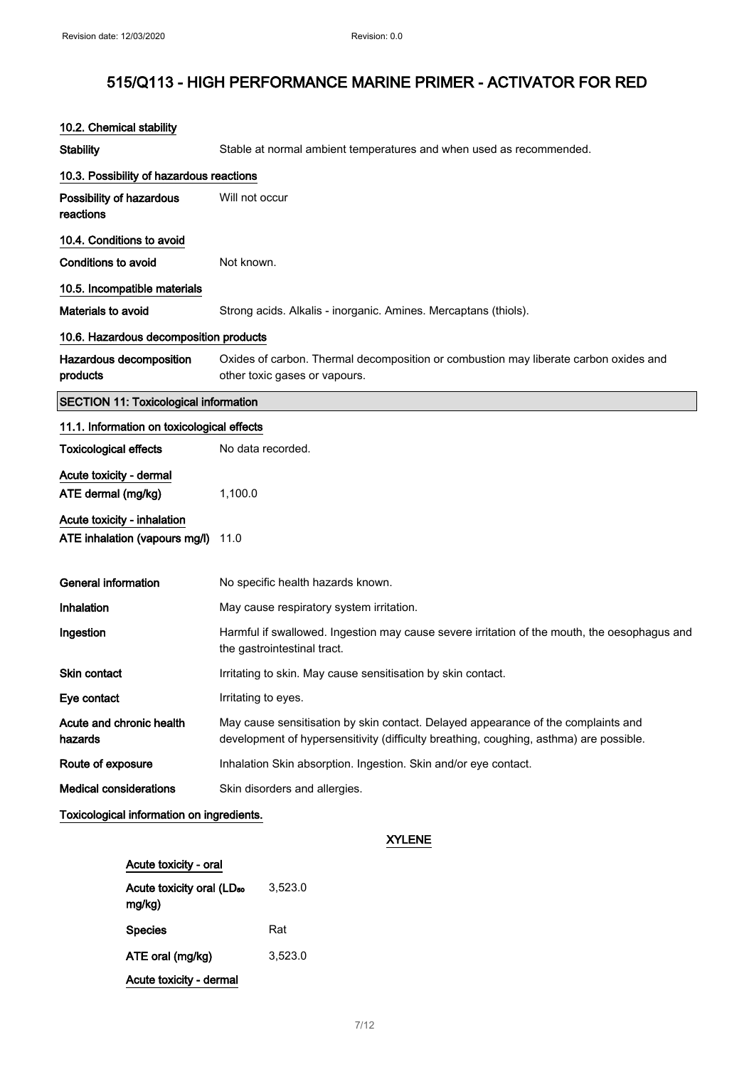| 10.2. Chemical stability                     |                                                                                                                                                                             |
|----------------------------------------------|-----------------------------------------------------------------------------------------------------------------------------------------------------------------------------|
| <b>Stability</b>                             | Stable at normal ambient temperatures and when used as recommended.                                                                                                         |
| 10.3. Possibility of hazardous reactions     |                                                                                                                                                                             |
| Possibility of hazardous<br>reactions        | Will not occur                                                                                                                                                              |
| 10.4. Conditions to avoid                    |                                                                                                                                                                             |
| <b>Conditions to avoid</b>                   | Not known.                                                                                                                                                                  |
| 10.5. Incompatible materials                 |                                                                                                                                                                             |
| Materials to avoid                           | Strong acids. Alkalis - inorganic. Amines. Mercaptans (thiols).                                                                                                             |
| 10.6. Hazardous decomposition products       |                                                                                                                                                                             |
| Hazardous decomposition<br>products          | Oxides of carbon. Thermal decomposition or combustion may liberate carbon oxides and<br>other toxic gases or vapours.                                                       |
| <b>SECTION 11: Toxicological information</b> |                                                                                                                                                                             |
| 11.1. Information on toxicological effects   |                                                                                                                                                                             |
| <b>Toxicological effects</b>                 | No data recorded.                                                                                                                                                           |
| Acute toxicity - dermal                      |                                                                                                                                                                             |
| ATE dermal (mg/kg)                           | 1,100.0                                                                                                                                                                     |
| Acute toxicity - inhalation                  |                                                                                                                                                                             |
| ATE inhalation (vapours mg/l)                | 11.0                                                                                                                                                                        |
| <b>General information</b>                   | No specific health hazards known.                                                                                                                                           |
| Inhalation                                   | May cause respiratory system irritation.                                                                                                                                    |
| Ingestion                                    | Harmful if swallowed. Ingestion may cause severe irritation of the mouth, the oesophagus and<br>the gastrointestinal tract.                                                 |
| <b>Skin contact</b>                          | Irritating to skin. May cause sensitisation by skin contact.                                                                                                                |
| Eye contact                                  | Irritating to eyes.                                                                                                                                                         |
| Acute and chronic health<br>hazards          | May cause sensitisation by skin contact. Delayed appearance of the complaints and<br>development of hypersensitivity (difficulty breathing, coughing, asthma) are possible. |
| Route of exposure                            | Inhalation Skin absorption. Ingestion. Skin and/or eye contact.                                                                                                             |
| <b>Medical considerations</b>                | Skin disorders and allergies.                                                                                                                                               |
| Toxicological information on ingredients.    |                                                                                                                                                                             |
|                                              | <b>XYLENE</b>                                                                                                                                                               |

| Acute toxicity - oral                           |         |
|-------------------------------------------------|---------|
| Acute toxicity oral (LD <sub>50</sub><br>mg/kg) | 3.523.0 |
| <b>Species</b>                                  | Rat     |
| ATE oral (mg/kg)                                | 3.523.0 |
| Acute toxicity - dermal                         |         |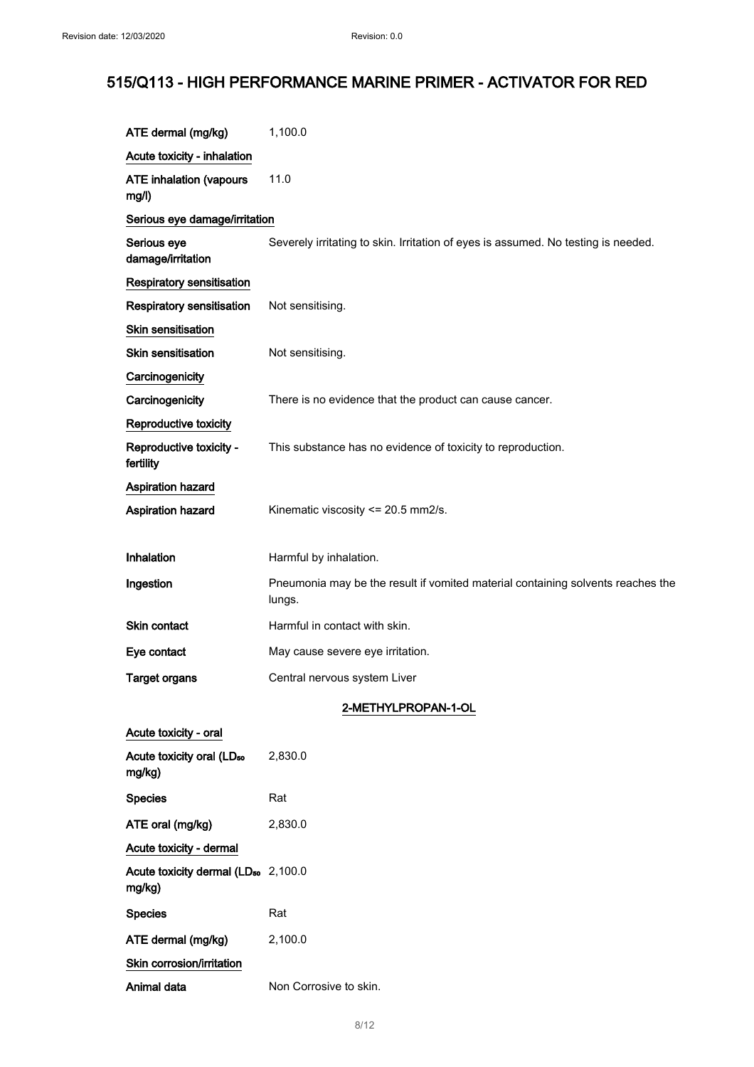| ATE dermal (mg/kg)                                        | 1,100.0                                                                                   |
|-----------------------------------------------------------|-------------------------------------------------------------------------------------------|
| Acute toxicity - inhalation                               |                                                                                           |
| <b>ATE inhalation (vapours</b><br>mg/l)                   | 11.0                                                                                      |
| Serious eye damage/irritation                             |                                                                                           |
| Serious eye<br>damage/irritation                          | Severely irritating to skin. Irritation of eyes is assumed. No testing is needed.         |
| <b>Respiratory sensitisation</b>                          |                                                                                           |
| <b>Respiratory sensitisation</b>                          | Not sensitising.                                                                          |
| Skin sensitisation                                        |                                                                                           |
| <b>Skin sensitisation</b>                                 | Not sensitising.                                                                          |
| Carcinogenicity                                           |                                                                                           |
| Carcinogenicity                                           | There is no evidence that the product can cause cancer.                                   |
| Reproductive toxicity                                     |                                                                                           |
| Reproductive toxicity -<br>fertility                      | This substance has no evidence of toxicity to reproduction.                               |
| <b>Aspiration hazard</b>                                  |                                                                                           |
| <b>Aspiration hazard</b>                                  | Kinematic viscosity <= 20.5 mm2/s.                                                        |
|                                                           |                                                                                           |
| <b>Inhalation</b>                                         | Harmful by inhalation.                                                                    |
| Ingestion                                                 | Pneumonia may be the result if vomited material containing solvents reaches the<br>lungs. |
| <b>Skin contact</b>                                       | Harmful in contact with skin.                                                             |
| Eye contact                                               | May cause severe eye irritation.                                                          |
| <b>Target organs</b>                                      | Central nervous system Liver                                                              |
|                                                           | 2-METHYLPROPAN-1-OL                                                                       |
| Acute toxicity - oral                                     |                                                                                           |
| Acute toxicity oral (LD <sub>50</sub><br>mg/kg)           | 2,830.0                                                                                   |
| <b>Species</b>                                            | Rat                                                                                       |
| ATE oral (mg/kg)                                          | 2,830.0                                                                                   |
| Acute toxicity - dermal                                   |                                                                                           |
| Acute toxicity dermal (LD <sub>50</sub> 2,100.0<br>mg/kg) |                                                                                           |
| <b>Species</b>                                            | Rat                                                                                       |
| ATE dermal (mg/kg)                                        | 2,100.0                                                                                   |

Skin corrosion/irritation

Animal data Non Corrosive to skin.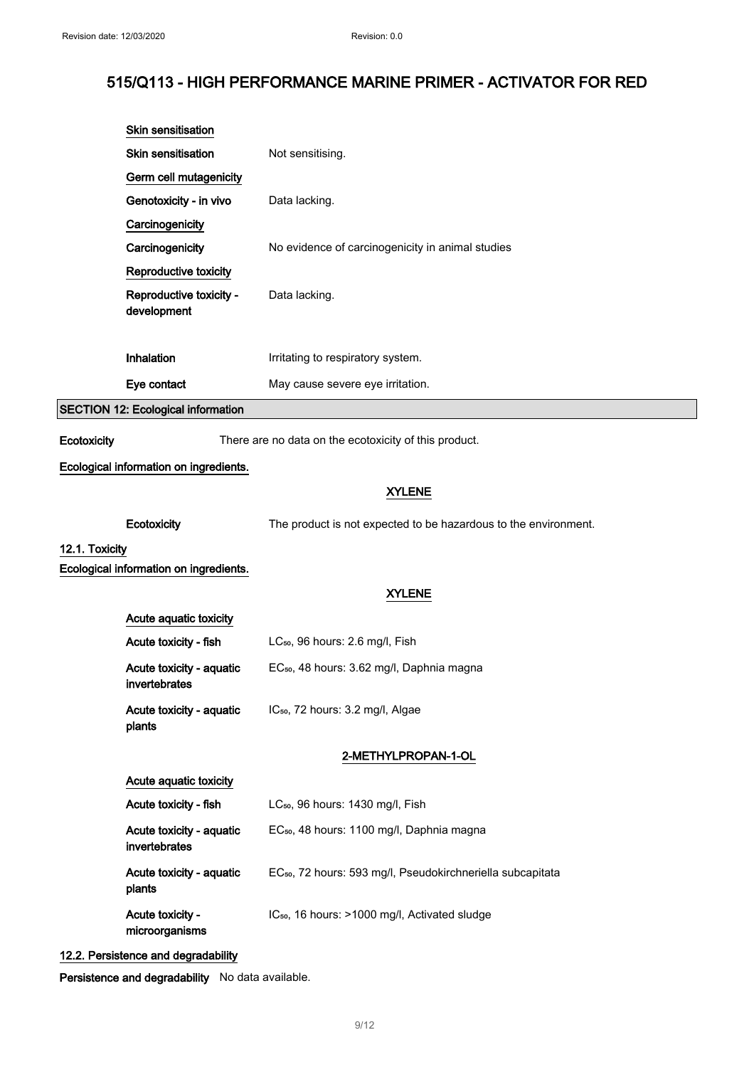|                | Skin sensitisation                        |                                                                        |
|----------------|-------------------------------------------|------------------------------------------------------------------------|
|                | <b>Skin sensitisation</b>                 | Not sensitising.                                                       |
|                | Germ cell mutagenicity                    |                                                                        |
|                | Genotoxicity - in vivo                    | Data lacking.                                                          |
|                | Carcinogenicity                           |                                                                        |
|                | Carcinogenicity                           | No evidence of carcinogenicity in animal studies                       |
|                | Reproductive toxicity                     |                                                                        |
|                | Reproductive toxicity -<br>development    | Data lacking.                                                          |
|                |                                           |                                                                        |
|                | Inhalation                                | Irritating to respiratory system.                                      |
|                | Eye contact                               | May cause severe eye irritation.                                       |
|                | <b>SECTION 12: Ecological information</b> |                                                                        |
| Ecotoxicity    |                                           | There are no data on the ecotoxicity of this product.                  |
|                | Ecological information on ingredients.    |                                                                        |
|                |                                           | <b>XYLENE</b>                                                          |
|                |                                           |                                                                        |
|                | Ecotoxicity                               | The product is not expected to be hazardous to the environment.        |
| 12.1. Toxicity | Ecological information on ingredients.    |                                                                        |
|                |                                           | <b>XYLENE</b>                                                          |
|                | Acute aquatic toxicity                    |                                                                        |
|                | Acute toxicity - fish                     | LC <sub>50</sub> , 96 hours: 2.6 mg/l, Fish                            |
|                | Acute toxicity - aquatic                  | EC <sub>50</sub> , 48 hours: 3.62 mg/l, Daphnia magna                  |
|                | invertebrates                             |                                                                        |
|                | Acute toxicity - aquatic<br>plants        | IC <sub>50</sub> , 72 hours: 3.2 mg/l, Algae                           |
|                |                                           | 2-METHYLPROPAN-1-OL                                                    |
|                | Acute aquatic toxicity                    |                                                                        |
|                | Acute toxicity - fish                     | LC <sub>50</sub> , 96 hours: 1430 mg/l, Fish                           |
|                | Acute toxicity - aquatic<br>invertebrates | EC <sub>50</sub> , 48 hours: 1100 mg/l, Daphnia magna                  |
|                | Acute toxicity - aquatic<br>plants        | EC <sub>50</sub> , 72 hours: 593 mg/l, Pseudokirchneriella subcapitata |
|                | Acute toxicity -<br>microorganisms        | IC <sub>50</sub> , 16 hours: >1000 mg/l, Activated sludge              |
|                | 10.0 Demisteres and decreadebility        |                                                                        |

12.2. Persistence and degradability

Persistence and degradability No data available.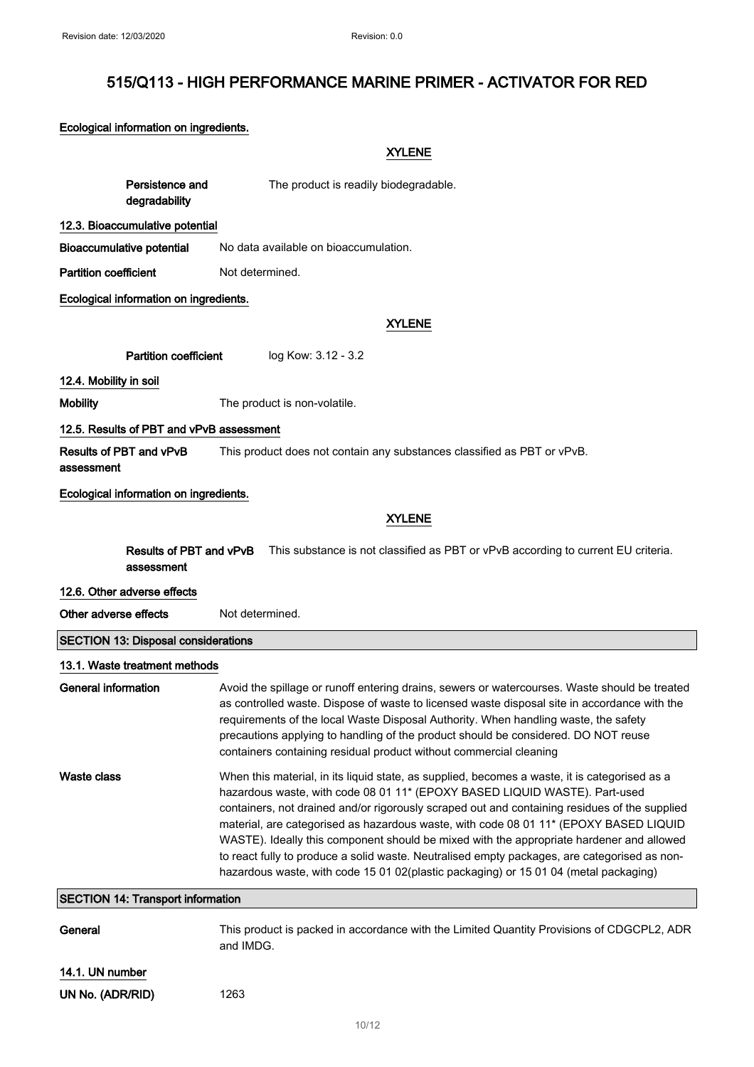## Ecological information on ingredients.

|                              |                                            | <b>XYLENE</b>                                                                                                                                                                                                                                                                                                                                                                                                                                                                                                                                                                                                                                             |  |
|------------------------------|--------------------------------------------|-----------------------------------------------------------------------------------------------------------------------------------------------------------------------------------------------------------------------------------------------------------------------------------------------------------------------------------------------------------------------------------------------------------------------------------------------------------------------------------------------------------------------------------------------------------------------------------------------------------------------------------------------------------|--|
|                              | Persistence and<br>degradability           | The product is readily biodegradable.                                                                                                                                                                                                                                                                                                                                                                                                                                                                                                                                                                                                                     |  |
|                              | 12.3. Bioaccumulative potential            |                                                                                                                                                                                                                                                                                                                                                                                                                                                                                                                                                                                                                                                           |  |
|                              | Bioaccumulative potential                  | No data available on bioaccumulation.                                                                                                                                                                                                                                                                                                                                                                                                                                                                                                                                                                                                                     |  |
| <b>Partition coefficient</b> |                                            | Not determined.                                                                                                                                                                                                                                                                                                                                                                                                                                                                                                                                                                                                                                           |  |
|                              | Ecological information on ingredients.     |                                                                                                                                                                                                                                                                                                                                                                                                                                                                                                                                                                                                                                                           |  |
|                              |                                            | <b>XYLENE</b>                                                                                                                                                                                                                                                                                                                                                                                                                                                                                                                                                                                                                                             |  |
|                              | <b>Partition coefficient</b>               | log Kow: 3.12 - 3.2                                                                                                                                                                                                                                                                                                                                                                                                                                                                                                                                                                                                                                       |  |
| 12.4. Mobility in soil       |                                            |                                                                                                                                                                                                                                                                                                                                                                                                                                                                                                                                                                                                                                                           |  |
| <b>Mobility</b>              |                                            | The product is non-volatile.                                                                                                                                                                                                                                                                                                                                                                                                                                                                                                                                                                                                                              |  |
|                              | 12.5. Results of PBT and vPvB assessment   |                                                                                                                                                                                                                                                                                                                                                                                                                                                                                                                                                                                                                                                           |  |
| assessment                   | <b>Results of PBT and vPvB</b>             | This product does not contain any substances classified as PBT or vPvB.                                                                                                                                                                                                                                                                                                                                                                                                                                                                                                                                                                                   |  |
|                              | Ecological information on ingredients.     |                                                                                                                                                                                                                                                                                                                                                                                                                                                                                                                                                                                                                                                           |  |
|                              | <b>XYLENE</b>                              |                                                                                                                                                                                                                                                                                                                                                                                                                                                                                                                                                                                                                                                           |  |
|                              | Results of PBT and vPvB                    | This substance is not classified as PBT or vPvB according to current EU criteria.                                                                                                                                                                                                                                                                                                                                                                                                                                                                                                                                                                         |  |
|                              | assessment                                 |                                                                                                                                                                                                                                                                                                                                                                                                                                                                                                                                                                                                                                                           |  |
|                              |                                            |                                                                                                                                                                                                                                                                                                                                                                                                                                                                                                                                                                                                                                                           |  |
|                              | 12.6. Other adverse effects                |                                                                                                                                                                                                                                                                                                                                                                                                                                                                                                                                                                                                                                                           |  |
| Other adverse effects        |                                            | Not determined.                                                                                                                                                                                                                                                                                                                                                                                                                                                                                                                                                                                                                                           |  |
|                              | <b>SECTION 13: Disposal considerations</b> |                                                                                                                                                                                                                                                                                                                                                                                                                                                                                                                                                                                                                                                           |  |
|                              | 13.1. Waste treatment methods              |                                                                                                                                                                                                                                                                                                                                                                                                                                                                                                                                                                                                                                                           |  |
| <b>General information</b>   |                                            | Avoid the spillage or runoff entering drains, sewers or watercourses. Waste should be treated<br>as controlled waste. Dispose of waste to licensed waste disposal site in accordance with the<br>requirements of the local Waste Disposal Authority. When handling waste, the safety<br>precautions applying to handling of the product should be considered. DO NOT reuse<br>containers containing residual product without commercial cleaning                                                                                                                                                                                                          |  |
| <b>Waste class</b>           |                                            | When this material, in its liquid state, as supplied, becomes a waste, it is categorised as a<br>hazardous waste, with code 08 01 11* (EPOXY BASED LIQUID WASTE). Part-used<br>containers, not drained and/or rigorously scraped out and containing residues of the supplied<br>material, are categorised as hazardous waste, with code 08 01 11* (EPOXY BASED LIQUID<br>WASTE). Ideally this component should be mixed with the appropriate hardener and allowed<br>to react fully to produce a solid waste. Neutralised empty packages, are categorised as non-<br>hazardous waste, with code 15 01 02(plastic packaging) or 15 01 04 (metal packaging) |  |
|                              | <b>SECTION 14: Transport information</b>   |                                                                                                                                                                                                                                                                                                                                                                                                                                                                                                                                                                                                                                                           |  |
| General                      |                                            | This product is packed in accordance with the Limited Quantity Provisions of CDGCPL2, ADR<br>and IMDG.                                                                                                                                                                                                                                                                                                                                                                                                                                                                                                                                                    |  |
| 14.1. UN number              |                                            |                                                                                                                                                                                                                                                                                                                                                                                                                                                                                                                                                                                                                                                           |  |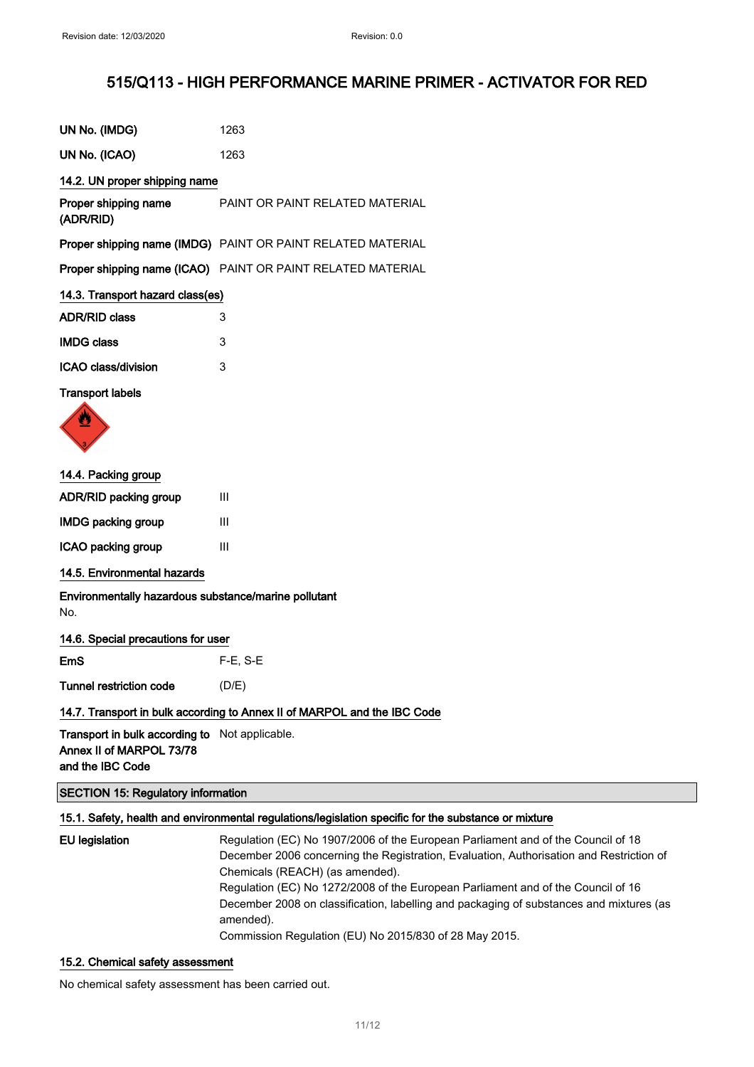| UN No. (IMDG)                                                                                  | 1263                                                                                                                                                                                                                                                                                                                                                                                          |
|------------------------------------------------------------------------------------------------|-----------------------------------------------------------------------------------------------------------------------------------------------------------------------------------------------------------------------------------------------------------------------------------------------------------------------------------------------------------------------------------------------|
| UN No. (ICAO)                                                                                  | 1263                                                                                                                                                                                                                                                                                                                                                                                          |
| 14.2. UN proper shipping name                                                                  |                                                                                                                                                                                                                                                                                                                                                                                               |
| Proper shipping name<br>(ADR/RID)                                                              | PAINT OR PAINT RELATED MATERIAL                                                                                                                                                                                                                                                                                                                                                               |
|                                                                                                | Proper shipping name (IMDG) PAINT OR PAINT RELATED MATERIAL                                                                                                                                                                                                                                                                                                                                   |
|                                                                                                | Proper shipping name (ICAO) PAINT OR PAINT RELATED MATERIAL                                                                                                                                                                                                                                                                                                                                   |
| 14.3. Transport hazard class(es)                                                               |                                                                                                                                                                                                                                                                                                                                                                                               |
| <b>ADR/RID class</b>                                                                           | 3                                                                                                                                                                                                                                                                                                                                                                                             |
| <b>IMDG class</b>                                                                              | 3                                                                                                                                                                                                                                                                                                                                                                                             |
| ICAO class/division                                                                            | 3                                                                                                                                                                                                                                                                                                                                                                                             |
| <b>Transport labels</b>                                                                        |                                                                                                                                                                                                                                                                                                                                                                                               |
|                                                                                                |                                                                                                                                                                                                                                                                                                                                                                                               |
| 14.4. Packing group                                                                            |                                                                                                                                                                                                                                                                                                                                                                                               |
| ADR/RID packing group                                                                          | Ш                                                                                                                                                                                                                                                                                                                                                                                             |
| <b>IMDG packing group</b>                                                                      | Ш                                                                                                                                                                                                                                                                                                                                                                                             |
| ICAO packing group                                                                             | Ш                                                                                                                                                                                                                                                                                                                                                                                             |
| 14.5. Environmental hazards                                                                    |                                                                                                                                                                                                                                                                                                                                                                                               |
| Environmentally hazardous substance/marine pollutant<br>No.                                    |                                                                                                                                                                                                                                                                                                                                                                                               |
| 14.6. Special precautions for user                                                             |                                                                                                                                                                                                                                                                                                                                                                                               |
| <b>EmS</b>                                                                                     | $F-E$ , S-E                                                                                                                                                                                                                                                                                                                                                                                   |
| Tunnel restriction code                                                                        | (D/E)                                                                                                                                                                                                                                                                                                                                                                                         |
|                                                                                                | 14.7. Transport in bulk according to Annex II of MARPOL and the IBC Code                                                                                                                                                                                                                                                                                                                      |
| Transport in bulk according to Not applicable.<br>Annex II of MARPOL 73/78<br>and the IBC Code |                                                                                                                                                                                                                                                                                                                                                                                               |
| <b>SECTION 15: Regulatory information</b>                                                      |                                                                                                                                                                                                                                                                                                                                                                                               |
|                                                                                                | 15.1. Safety, health and environmental regulations/legislation specific for the substance or mixture                                                                                                                                                                                                                                                                                          |
| <b>EU</b> legislation                                                                          | Regulation (EC) No 1907/2006 of the European Parliament and of the Council of 18<br>December 2006 concerning the Registration, Evaluation, Authorisation and Restriction of<br>Chemicals (REACH) (as amended).<br>Regulation (EC) No 1272/2008 of the European Parliament and of the Council of 16<br>December 2008 on classification, labelling and packaging of substances and mixtures (as |

### 15.2. Chemical safety assessment

No chemical safety assessment has been carried out.

amended).

Commission Regulation (EU) No 2015/830 of 28 May 2015.